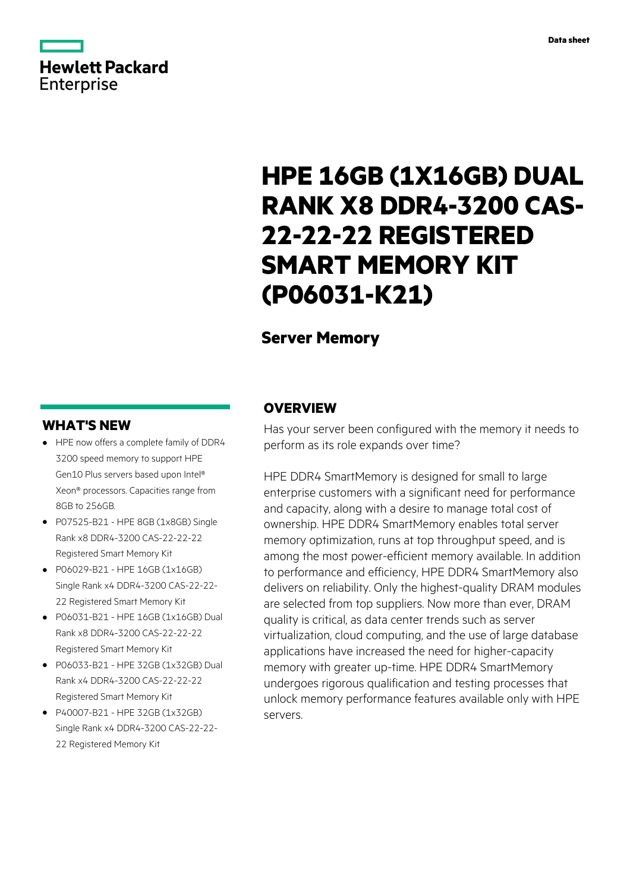# **Hewlett Packard Enterprise**

# **HPE 16GB (1X16GB) DUAL RANK X8 DDR4-3200 CAS-22-22-22 REGISTERED SMART MEMORY KIT (P06031-K21)**

# **Server Memory**

# **WHAT'S NEW**

- **·** HPE now offers a complete family of DDR4 3200 speed memory to support HPE Gen10 Plus servers based upon Intel® Xeon® processors. Capacities range from 8GB to 256GB.
- **·** P07525-B21 HPE 8GB (1x8GB) Single Rank x8 DDR4-3200 CAS-22-22-22 Registered Smart Memory Kit
- **·** P06029-B21 HPE 16GB (1x16GB) Single Rank x4 DDR4-3200 CAS-22-22- 22 Registered Smart Memory Kit
- **·** P06031-B21 HPE 16GB (1x16GB) Dual Rank x8 DDR4-3200 CAS-22-22-22 Registered Smart Memory Kit
- **·** P06033-B21 HPE 32GB (1x32GB) Dual Rank x4 DDR4-3200 CAS-22-22-22 Registered Smart Memory Kit
- **·** P40007-B21 HPE 32GB (1x32GB) Single Rank x4 DDR4-3200 CAS-22-22- 22 Registered Memory Kit

## **OVERVIEW**

Has your server been configured with the memory it needs to perform as its role expands over time?

HPE DDR4 SmartMemory is designed for small to large enterprise customers with a significant need for performance and capacity, along with a desire to manage total cost of ownership. HPE DDR4 SmartMemory enables total server memory optimization, runs at top throughput speed, and is among the most power-efficient memory available. In addition to performance and efficiency, HPE DDR4 SmartMemory also delivers on reliability. Only the highest-quality DRAM modules are selected from top suppliers. Now more than ever, DRAM quality is critical, as data center trends such as server virtualization, cloud computing, and the use of large database applications have increased the need for higher-capacity memory with greater up-time. HPE DDR4 SmartMemory undergoes rigorous qualification and testing processes that unlock memory performance features available only with HPE servers.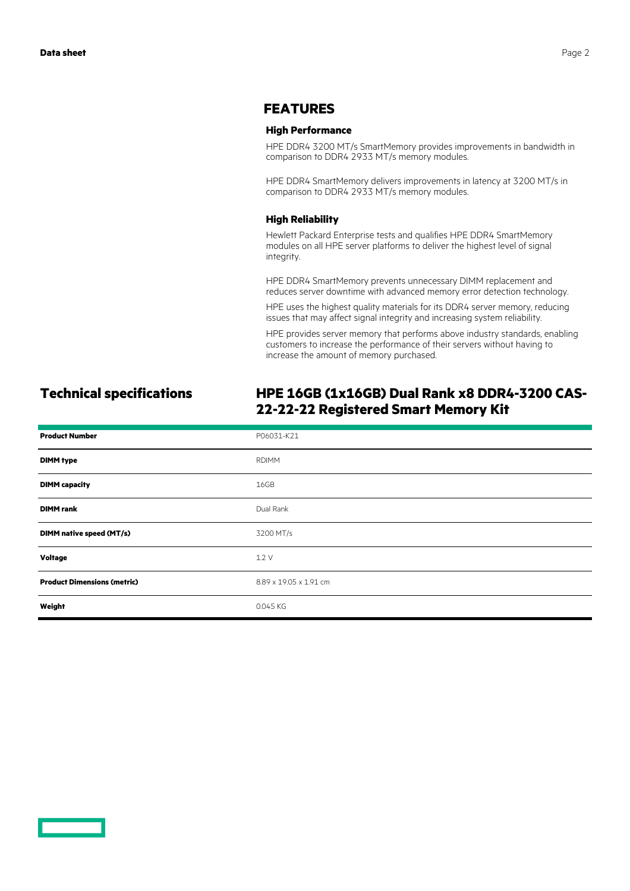## **FEATURES**

#### **High Performance**

HPE DDR4 3200 MT/s SmartMemory provides improvements in bandwidth in comparison to DDR4 2933 MT/s memory modules.

HPE DDR4 SmartMemory delivers improvements in latency at 3200 MT/s in comparison to DDR4 2933 MT/s memory modules.

#### **High Reliability**

Hewlett Packard Enterprise tests and qualifies HPE DDR4 SmartMemory modules on all HPE server platforms to deliver the highest level of signal integrity.

HPE DDR4 SmartMemory prevents unnecessary DIMM replacement and reduces server downtime with advanced memory error detection technology.

HPE uses the highest quality materials for its DDR4 server memory, reducing issues that may affect signal integrity and increasing system reliability.

HPE provides server memory that performs above industry standards, enabling customers to increase the performance of their servers without having to increase the amount of memory purchased.

# **Technical specifications HPE 16GB (1x16GB) Dual Rank x8 DDR4-3200 CAS-22-22-22 Registered Smart Memory Kit**

| <b>Product Number</b>              | P06031-K21             |
|------------------------------------|------------------------|
| <b>DIMM</b> type                   | <b>RDIMM</b>           |
| <b>DIMM</b> capacity               | 16GB                   |
| <b>DIMM</b> rank                   | Dual Rank              |
| DIMM native speed (MT/s)           | 3200 MT/s              |
| <b>Voltage</b>                     | 1.2V                   |
| <b>Product Dimensions (metric)</b> | 8.89 x 19.05 x 1.91 cm |
| Weight                             | 0.045 KG               |